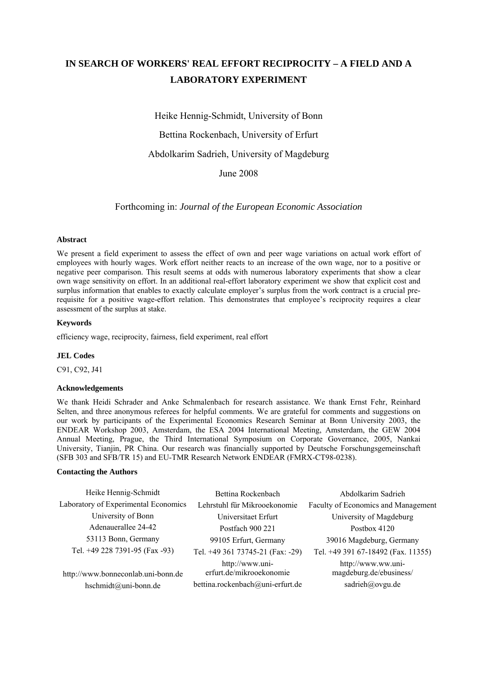# **IN SEARCH OF WORKERS' REAL EFFORT RECIPROCITY – A FIELD AND A LABORATORY EXPERIMENT**

Heike Hennig-Schmidt, University of Bonn

Bettina Rockenbach, University of Erfurt

Abdolkarim Sadrieh, University of Magdeburg

# June 2008

Forthcoming in: *Journal of the European Economic Association*

### **Abstract**

We present a field experiment to assess the effect of own and peer wage variations on actual work effort of employees with hourly wages. Work effort neither reacts to an increase of the own wage, nor to a positive or negative peer comparison. This result seems at odds with numerous laboratory experiments that show a clear own wage sensitivity on effort. In an additional real-effort laboratory experiment we show that explicit cost and surplus information that enables to exactly calculate employer's surplus from the work contract is a crucial prerequisite for a positive wage-effort relation. This demonstrates that employee's reciprocity requires a clear assessment of the surplus at stake.

# **Keywords**

efficiency wage, reciprocity, fairness, field experiment, real effort

### **JEL Codes**

C91, C92, J41

### **Acknowledgements**

We thank Heidi Schrader and Anke Schmalenbach for research assistance. We thank Ernst Fehr, Reinhard Selten, and three anonymous referees for helpful comments. We are grateful for comments and suggestions on our work by participants of the Experimental Economics Research Seminar at Bonn University 2003, the ENDEAR Workshop 2003, Amsterdam, the ESA 2004 International Meeting, Amsterdam, the GEW 2004 Annual Meeting, Prague, the Third International Symposium on Corporate Governance, 2005, Nankai University, Tianjin, PR China. Our research was financially supported by Deutsche Forschungsgemeinschaft (SFB 303 and SFB/TR 15) and EU-TMR Research Network ENDEAR (FMRX-CT98-0238).

### **Contacting the Authors**

| Heike Hennig-Schmidt                 | Bettina Rockenbach                          | Abdolkarim Sadrieh                            |
|--------------------------------------|---------------------------------------------|-----------------------------------------------|
| Laboratory of Experimental Economics | Lehrstuhl für Mikrooekonomie                | Faculty of Economics and Management           |
| University of Bonn                   | Universitaet Erfurt                         | University of Magdeburg                       |
| Adenauerallee 24-42                  | Postfach 900 221                            | Postbox 4120                                  |
| 53113 Bonn, Germany                  | 99105 Erfurt, Germany                       | 39016 Magdeburg, Germany                      |
| Tel. +49 228 7391-95 (Fax -93)       | Tel. +49 361 73745-21 (Fax: -29)            | Tel. +49 391 67-18492 (Fax. 11355)            |
| http://www.bonneconlab.uni-bonn.de   | http://www.uni-<br>erfurt.de/mikrooekonomie | http://www.ww.uni-<br>magdeburg.de/ebusiness/ |
| hschmidt@uni-bonn.de                 | bettina.rockenbach@uni-erfurt.de            | sadrieh@ovgu.de                               |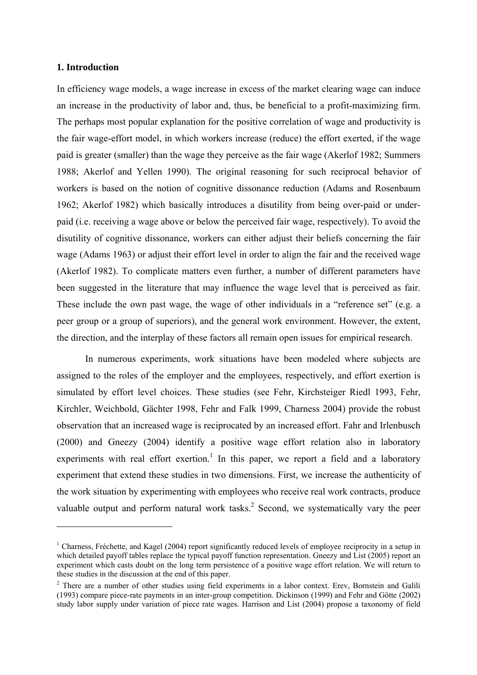# **1. Introduction**

<u>.</u>

In efficiency wage models, a wage increase in excess of the market clearing wage can induce an increase in the productivity of labor and, thus, be beneficial to a profit-maximizing firm. The perhaps most popular explanation for the positive correlation of wage and productivity is the fair wage-effort model, in which workers increase (reduce) the effort exerted, if the wage paid is greater (smaller) than the wage they perceive as the fair wage (Akerlof 1982; Summers 1988; Akerlof and Yellen 1990). The original reasoning for such reciprocal behavior of workers is based on the notion of cognitive dissonance reduction (Adams and Rosenbaum 1962; Akerlof 1982) which basically introduces a disutility from being over-paid or underpaid (i.e. receiving a wage above or below the perceived fair wage, respectively). To avoid the disutility of cognitive dissonance, workers can either adjust their beliefs concerning the fair wage (Adams 1963) or adjust their effort level in order to align the fair and the received wage (Akerlof 1982). To complicate matters even further, a number of different parameters have been suggested in the literature that may influence the wage level that is perceived as fair. These include the own past wage, the wage of other individuals in a "reference set" (e.g. a peer group or a group of superiors), and the general work environment. However, the extent, the direction, and the interplay of these factors all remain open issues for empirical research.

In numerous experiments, work situations have been modeled where subjects are assigned to the roles of the employer and the employees, respectively, and effort exertion is simulated by effort level choices. These studies (see Fehr, Kirchsteiger Riedl 1993, Fehr, Kirchler, Weichbold, Gächter 1998, Fehr and Falk 1999, Charness 2004) provide the robust observation that an increased wage is reciprocated by an increased effort. Fahr and Irlenbusch (2000) and Gneezy (2004) identify a positive wage effort relation also in laboratory experiments with real effort exertion.<sup>1</sup> In this paper, we report a field and a laboratory experiment that extend these studies in two dimensions. First, we increase the authenticity of the work situation by experimenting with employees who receive real work contracts, produce valuable output and perform natural work tasks.<sup>2</sup> Second, we systematically vary the peer

<sup>&</sup>lt;sup>1</sup> Charness, Fréchette, and Kagel (2004) report significantly reduced levels of employee reciprocity in a setup in which detailed payoff tables replace the typical payoff function representation. Gneezy and List (2005) report an experiment which casts doubt on the long term persistence of a positive wage effort relation. We will return to these studies in the discussion at the end of this paper.

<sup>&</sup>lt;sup>2</sup> There are a number of other studies using field experiments in a labor context. Erev, Bornstein and Galili (1993) compare piece-rate payments in an inter-group competition. Dickinson (1999) and Fehr and Götte (2002) study labor supply under variation of piece rate wages. Harrison and List (2004) propose a taxonomy of field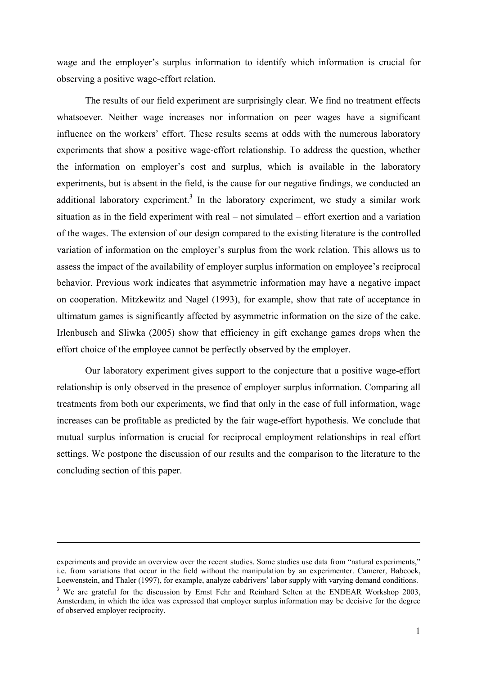wage and the employer's surplus information to identify which information is crucial for observing a positive wage-effort relation.

The results of our field experiment are surprisingly clear. We find no treatment effects whatsoever. Neither wage increases nor information on peer wages have a significant influence on the workers' effort. These results seems at odds with the numerous laboratory experiments that show a positive wage-effort relationship. To address the question, whether the information on employer's cost and surplus, which is available in the laboratory experiments, but is absent in the field, is the cause for our negative findings, we conducted an additional laboratory experiment.<sup>3</sup> In the laboratory experiment, we study a similar work situation as in the field experiment with real – not simulated – effort exertion and a variation of the wages. The extension of our design compared to the existing literature is the controlled variation of information on the employer's surplus from the work relation. This allows us to assess the impact of the availability of employer surplus information on employee's reciprocal behavior. Previous work indicates that asymmetric information may have a negative impact on cooperation. Mitzkewitz and Nagel (1993), for example, show that rate of acceptance in ultimatum games is significantly affected by asymmetric information on the size of the cake. Irlenbusch and Sliwka (2005) show that efficiency in gift exchange games drops when the effort choice of the employee cannot be perfectly observed by the employer.

Our laboratory experiment gives support to the conjecture that a positive wage-effort relationship is only observed in the presence of employer surplus information. Comparing all treatments from both our experiments, we find that only in the case of full information, wage increases can be profitable as predicted by the fair wage-effort hypothesis. We conclude that mutual surplus information is crucial for reciprocal employment relationships in real effort settings. We postpone the discussion of our results and the comparison to the literature to the concluding section of this paper.

experiments and provide an overview over the recent studies. Some studies use data from "natural experiments," i.e. from variations that occur in the field without the manipulation by an experimenter. Camerer, Babcock, Loewenstein, and Thaler (1997), for example, analyze cabdrivers' labor supply with varying demand conditions.

<sup>&</sup>lt;sup>3</sup> We are grateful for the discussion by Ernst Fehr and Reinhard Selten at the ENDEAR Workshop 2003, Amsterdam, in which the idea was expressed that employer surplus information may be decisive for the degree of observed employer reciprocity.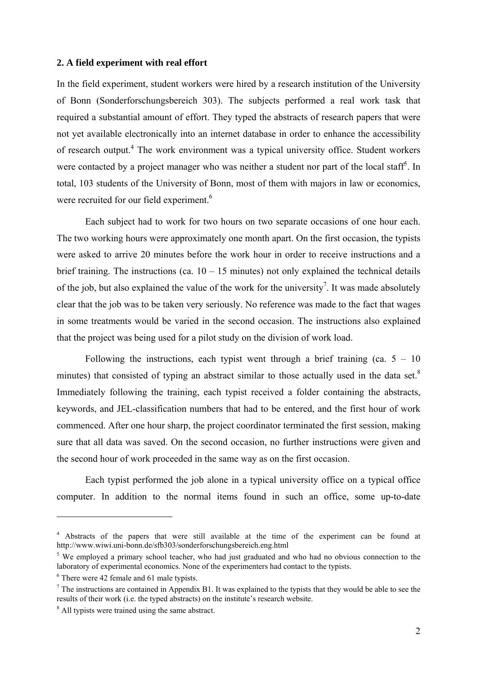# **2. A field experiment with real effort**

In the field experiment, student workers were hired by a research institution of the University of Bonn (Sonderforschungsbereich 303). The subjects performed a real work task that required a substantial amount of effort. They typed the abstracts of research papers that were not yet available electronically into an internet database in order to enhance the accessibility of research output.<sup>4</sup> The work environment was a typical university office. Student workers were contacted by a project manager who was neither a student nor part of the local staff<sup>5</sup>. In total, 103 students of the University of Bonn, most of them with majors in law or economics, were recruited for our field experiment.<sup>6</sup>

Each subject had to work for two hours on two separate occasions of one hour each. The two working hours were approximately one month apart. On the first occasion, the typists were asked to arrive 20 minutes before the work hour in order to receive instructions and a brief training. The instructions (ca.  $10 - 15$  minutes) not only explained the technical details of the job, but also explained the value of the work for the university<sup>7</sup>. It was made absolutely clear that the job was to be taken very seriously. No reference was made to the fact that wages in some treatments would be varied in the second occasion. The instructions also explained that the project was being used for a pilot study on the division of work load.

Following the instructions, each typist went through a brief training (ca.  $5 - 10$ ) minutes) that consisted of typing an abstract similar to those actually used in the data set. $8$ Immediately following the training, each typist received a folder containing the abstracts, keywords, and JEL-classification numbers that had to be entered, and the first hour of work commenced. After one hour sharp, the project coordinator terminated the first session, making sure that all data was saved. On the second occasion, no further instructions were given and the second hour of work proceeded in the same way as on the first occasion.

Each typist performed the job alone in a typical university office on a typical office computer. In addition to the normal items found in such an office, some up-to-date

<sup>&</sup>lt;sup>4</sup> Abstracts of the papers that were still available at the time of the experiment can be found at http://www.wiwi.uni-bonn.de/sfb303/sonderforschungsbereich.eng.html 5

<sup>&</sup>lt;sup>5</sup> We employed a primary school teacher, who had just graduated and who had no obvious connection to the laboratory of experimental economics. None of the experimenters had contact to the typists.

<sup>6</sup> There were 42 female and 61 male typists.

 $<sup>7</sup>$  The instructions are contained in Appendix B1. It was explained to the typists that they would be able to see the</sup> results of their work (i.e. the typed abstracts) on the institute's research website.

<sup>&</sup>lt;sup>8</sup> All typists were trained using the same abstract.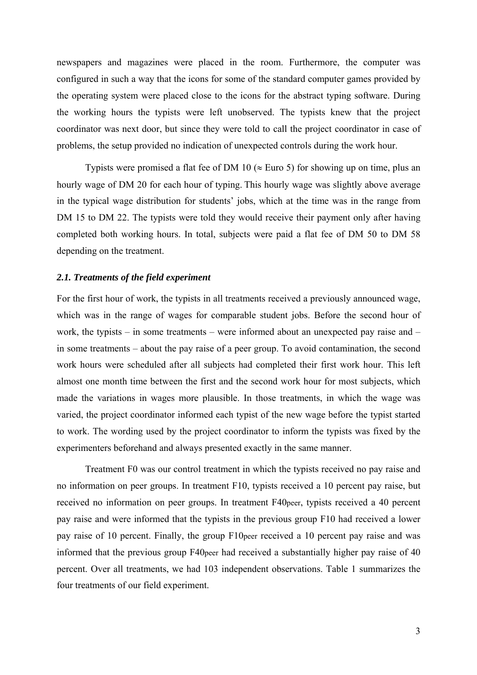newspapers and magazines were placed in the room. Furthermore, the computer was configured in such a way that the icons for some of the standard computer games provided by the operating system were placed close to the icons for the abstract typing software. During the working hours the typists were left unobserved. The typists knew that the project coordinator was next door, but since they were told to call the project coordinator in case of problems, the setup provided no indication of unexpected controls during the work hour.

Typists were promised a flat fee of DM 10 ( $\approx$  Euro 5) for showing up on time, plus an hourly wage of DM 20 for each hour of typing. This hourly wage was slightly above average in the typical wage distribution for students' jobs, which at the time was in the range from DM 15 to DM 22. The typists were told they would receive their payment only after having completed both working hours. In total, subjects were paid a flat fee of DM 50 to DM 58 depending on the treatment.

# *2.1. Treatments of the field experiment*

For the first hour of work, the typists in all treatments received a previously announced wage, which was in the range of wages for comparable student jobs. Before the second hour of work, the typists – in some treatments – were informed about an unexpected pay raise and – in some treatments – about the pay raise of a peer group. To avoid contamination, the second work hours were scheduled after all subjects had completed their first work hour. This left almost one month time between the first and the second work hour for most subjects, which made the variations in wages more plausible. In those treatments, in which the wage was varied, the project coordinator informed each typist of the new wage before the typist started to work. The wording used by the project coordinator to inform the typists was fixed by the experimenters beforehand and always presented exactly in the same manner.

Treatment F0 was our control treatment in which the typists received no pay raise and no information on peer groups. In treatment F10, typists received a 10 percent pay raise, but received no information on peer groups. In treatment F40peer, typists received a 40 percent pay raise and were informed that the typists in the previous group F10 had received a lower pay raise of 10 percent. Finally, the group F10peer received a 10 percent pay raise and was informed that the previous group F40peer had received a substantially higher pay raise of 40 percent. Over all treatments, we had 103 independent observations. Table 1 summarizes the four treatments of our field experiment.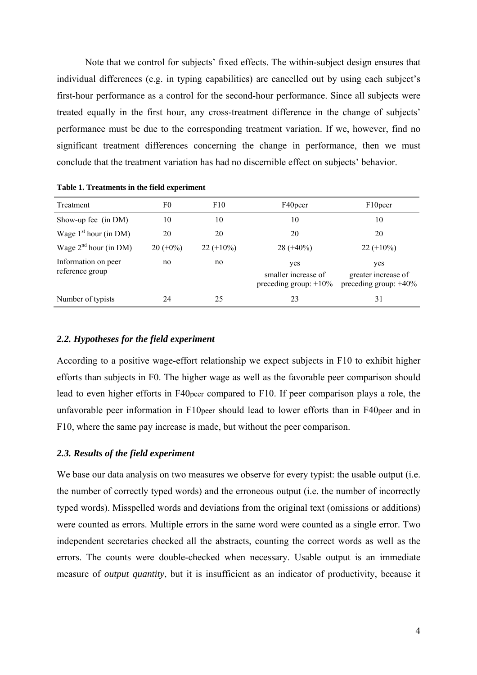Note that we control for subjects' fixed effects. The within-subject design ensures that individual differences (e.g. in typing capabilities) are cancelled out by using each subject's first-hour performance as a control for the second-hour performance. Since all subjects were treated equally in the first hour, any cross-treatment difference in the change of subjects' performance must be due to the corresponding treatment variation. If we, however, find no significant treatment differences concerning the change in performance, then we must conclude that the treatment variation has had no discernible effect on subjects' behavior.

| Treatment                              | F0          | F10          | F40peer                                                | F10 peer                                               |
|----------------------------------------|-------------|--------------|--------------------------------------------------------|--------------------------------------------------------|
| Show-up fee (in DM)                    | 10          | 10           | 10                                                     | 10                                                     |
| Wage $1st$ hour (in DM)                | 20          | 20           | 20                                                     | 20                                                     |
| Wage $2^{nd}$ hour (in DM)             | $20 (+0\%)$ | $22 (+10\%)$ | $28 (+40\%)$                                           | $22 (+10\%)$                                           |
| Information on peer<br>reference group | no          | no           | yes<br>smaller increase of<br>preceding group: $+10\%$ | yes<br>greater increase of<br>preceding group: $+40\%$ |
| Number of typists                      | 24          | 25           | 23                                                     | 31                                                     |

**Table 1. Treatments in the field experiment** 

# *2.2. Hypotheses for the field experiment*

According to a positive wage-effort relationship we expect subjects in F10 to exhibit higher efforts than subjects in F0. The higher wage as well as the favorable peer comparison should lead to even higher efforts in F40peer compared to F10. If peer comparison plays a role, the unfavorable peer information in F10peer should lead to lower efforts than in F40peer and in F10, where the same pay increase is made, but without the peer comparison.

# *2.3. Results of the field experiment*

We base our data analysis on two measures we observe for every typist: the usable output (i.e. the number of correctly typed words) and the erroneous output (i.e. the number of incorrectly typed words). Misspelled words and deviations from the original text (omissions or additions) were counted as errors. Multiple errors in the same word were counted as a single error. Two independent secretaries checked all the abstracts, counting the correct words as well as the errors. The counts were double-checked when necessary. Usable output is an immediate measure of *output quantity*, but it is insufficient as an indicator of productivity, because it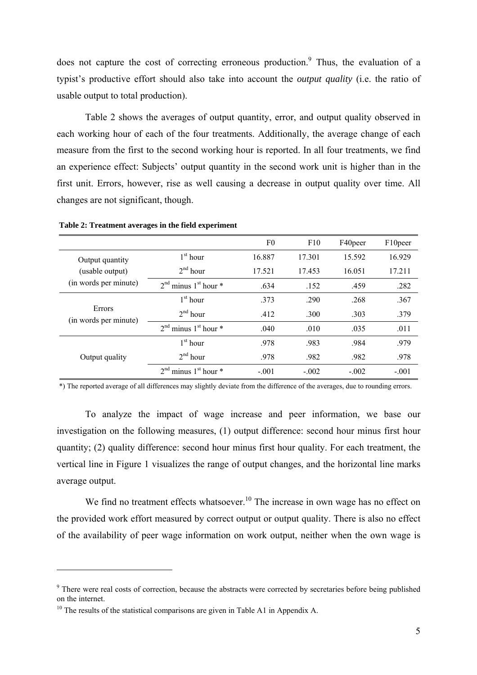does not capture the cost of correcting erroneous production.<sup>9</sup> Thus, the evaluation of a typist's productive effort should also take into account the *output quality* (i.e. the ratio of usable output to total production).

Table 2 shows the averages of output quantity, error, and output quality observed in each working hour of each of the four treatments. Additionally, the average change of each measure from the first to the second working hour is reported. In all four treatments, we find an experience effect: Subjects' output quantity in the second work unit is higher than in the first unit. Errors, however, rise as well causing a decrease in output quality over time. All changes are not significant, though.

|                                 |                            | F <sub>0</sub> | F10     | F40peer | F10 peer |
|---------------------------------|----------------------------|----------------|---------|---------|----------|
| Output quantity                 | $1st$ hour                 | 16.887         | 17.301  | 15.592  | 16.929   |
| (usable output)                 | $2nd$ hour                 | 17.521         | 17.453  | 16.051  | 17.211   |
| (in words per minute)           | $2nd$ minus $1st$ hour $*$ | .634           | .152    | .459    | .282     |
|                                 | $1st$ hour                 | 373            | .290    | .268    | .367     |
| Errors<br>(in words per minute) | $2nd$ hour                 | .412           | .300    | .303    | .379     |
|                                 | $2nd$ minus $1st$ hour $*$ | .040           | .010    | .035    | .011     |
|                                 | $1st$ hour                 | .978           | .983    | .984    | .979     |
| Output quality                  | $2nd$ hour                 | .978           | .982    | .982    | .978     |
|                                 | $2nd$ minus $1st$ hour $*$ | $-.001$        | $-.002$ | $-.002$ | $-.001$  |

**Table 2: Treatment averages in the field experiment** 

\*) The reported average of all differences may slightly deviate from the difference of the averages, due to rounding errors.

To analyze the impact of wage increase and peer information, we base our investigation on the following measures, (1) output difference: second hour minus first hour quantity; (2) quality difference: second hour minus first hour quality. For each treatment, the vertical line in Figure 1 visualizes the range of output changes, and the horizontal line marks average output.

We find no treatment effects whatsoever.<sup>10</sup> The increase in own wage has no effect on the provided work effort measured by correct output or output quality. There is also no effect of the availability of peer wage information on work output, neither when the own wage is

<sup>&</sup>lt;sup>9</sup> There were real costs of correction, because the abstracts were corrected by secretaries before being published on the internet.

 $10$  The results of the statistical comparisons are given in Table A1 in Appendix A.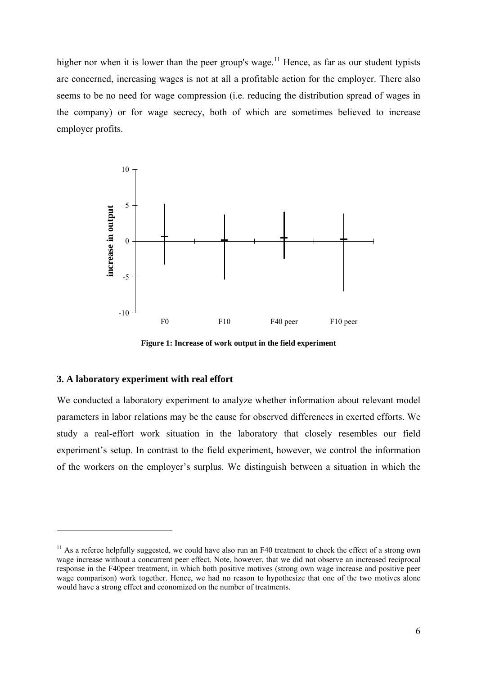higher nor when it is lower than the peer group's wage.<sup>11</sup> Hence, as far as our student typists are concerned, increasing wages is not at all a profitable action for the employer. There also seems to be no need for wage compression (i.e. reducing the distribution spread of wages in the company) or for wage secrecy, both of which are sometimes believed to increase employer profits.



**Figure 1: Increase of work output in the field experiment** 

# **3. A laboratory experiment with real effort**

1

We conducted a laboratory experiment to analyze whether information about relevant model parameters in labor relations may be the cause for observed differences in exerted efforts. We study a real-effort work situation in the laboratory that closely resembles our field experiment's setup. In contrast to the field experiment, however, we control the information of the workers on the employer's surplus. We distinguish between a situation in which the

 $11$  As a referee helpfully suggested, we could have also run an F40 treatment to check the effect of a strong own wage increase without a concurrent peer effect. Note, however, that we did not observe an increased reciprocal response in the F40peer treatment, in which both positive motives (strong own wage increase and positive peer wage comparison) work together. Hence, we had no reason to hypothesize that one of the two motives alone would have a strong effect and economized on the number of treatments.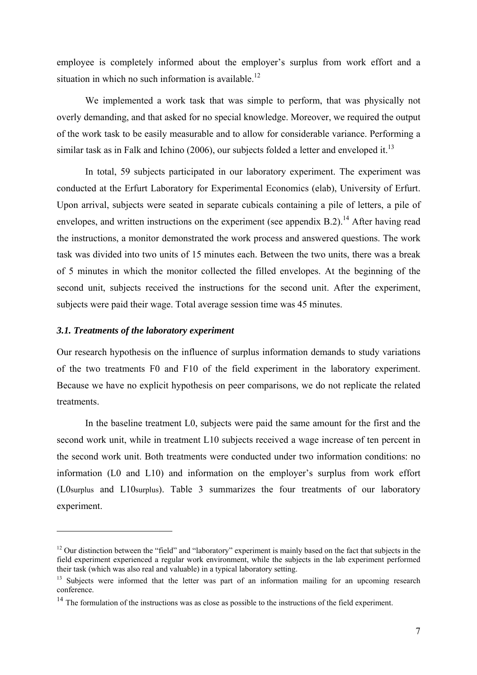employee is completely informed about the employer's surplus from work effort and a situation in which no such information is available.<sup>12</sup>

We implemented a work task that was simple to perform, that was physically not overly demanding, and that asked for no special knowledge. Moreover, we required the output of the work task to be easily measurable and to allow for considerable variance. Performing a similar task as in Falk and Ichino (2006), our subjects folded a letter and enveloped it.<sup>13</sup>

In total, 59 subjects participated in our laboratory experiment. The experiment was conducted at the Erfurt Laboratory for Experimental Economics (elab), University of Erfurt. Upon arrival, subjects were seated in separate cubicals containing a pile of letters, a pile of envelopes, and written instructions on the experiment (see appendix B.2).<sup>14</sup> After having read the instructions, a monitor demonstrated the work process and answered questions. The work task was divided into two units of 15 minutes each. Between the two units, there was a break of 5 minutes in which the monitor collected the filled envelopes. At the beginning of the second unit, subjects received the instructions for the second unit. After the experiment, subjects were paid their wage. Total average session time was 45 minutes.

# *3.1. Treatments of the laboratory experiment*

1

Our research hypothesis on the influence of surplus information demands to study variations of the two treatments F0 and F10 of the field experiment in the laboratory experiment. Because we have no explicit hypothesis on peer comparisons, we do not replicate the related treatments.

In the baseline treatment L0, subjects were paid the same amount for the first and the second work unit, while in treatment L10 subjects received a wage increase of ten percent in the second work unit. Both treatments were conducted under two information conditions: no information (L0 and L10) and information on the employer's surplus from work effort (L0surplus and L10surplus). Table 3 summarizes the four treatments of our laboratory experiment.

 $12$  Our distinction between the "field" and "laboratory" experiment is mainly based on the fact that subjects in the field experiment experienced a regular work environment, while the subjects in the lab experiment performed their task (which was also real and valuable) in a typical laboratory setting.<br><sup>13</sup> Subjects were informed that the letter was part of an information mailing for an upcoming research

conference.

<sup>&</sup>lt;sup>14</sup> The formulation of the instructions was as close as possible to the instructions of the field experiment.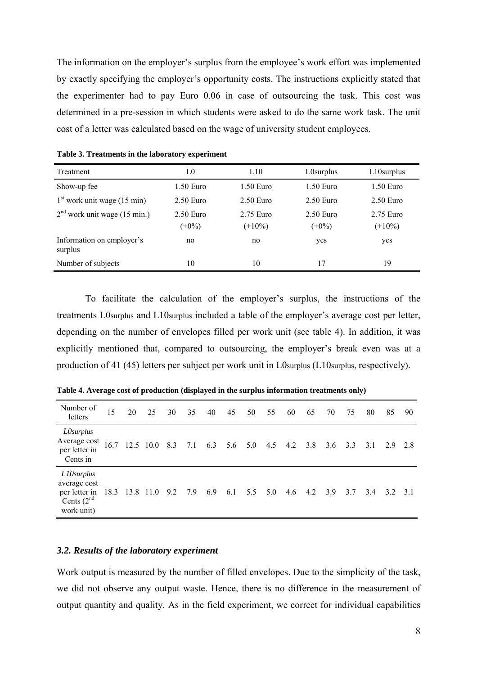The information on the employer's surplus from the employee's work effort was implemented by exactly specifying the employer's opportunity costs. The instructions explicitly stated that the experimenter had to pay Euro 0.06 in case of outsourcing the task. This cost was determined in a pre-session in which students were asked to do the same work task. The unit cost of a letter was calculated based on the wage of university student employees.

| Treatment                            | L0                      | L10                    | L0surplus               | L10surplus             |
|--------------------------------------|-------------------------|------------------------|-------------------------|------------------------|
| Show-up fee                          | 1.50 Euro               | 1.50 Euro              | 1.50 Euro               | 1.50 Euro              |
| $1st$ work unit wage (15 min)        | 2.50 Euro               | 2.50 Euro              | 2.50 Euro               | $2.50$ Euro            |
| $2nd$ work unit wage (15 min.)       | $2.50$ Euro<br>$(+0\%)$ | 2.75 Euro<br>$(+10\%)$ | $2.50$ Euro<br>$(+0\%)$ | 2.75 Euro<br>$(+10\%)$ |
| Information on employer's<br>surplus | no                      | no                     | yes                     | yes                    |
| Number of subjects                   | 10                      | 10                     | 17                      | 19                     |

**Table 3. Treatments in the laboratory experiment** 

To facilitate the calculation of the employer's surplus, the instructions of the treatments L0surplus and L10surplus included a table of the employer's average cost per letter, depending on the number of envelopes filled per work unit (see table 4). In addition, it was explicitly mentioned that, compared to outsourcing, the employer's break even was at a production of 41 (45) letters per subject per work unit in L0surplus (L10surplus, respectively).

**Table 4. Average cost of production (displayed in the surplus information treatments only)** 

| Number of<br>letters                                                                  | 15   | 20 | 25                                        | 30 | 35 | 40 | 45 | 50 | 55 | 60 | 65              | 70  | 75  | 80  | 85  | 90  |
|---------------------------------------------------------------------------------------|------|----|-------------------------------------------|----|----|----|----|----|----|----|-----------------|-----|-----|-----|-----|-----|
| <i>LOsurplus</i><br>Average cost<br>per letter in<br>Cents in                         | 16.7 |    | 12.5 10.0 8.3 7.1 6.3 5.6 5.0 4.5 4.2 3.8 |    |    |    |    |    |    |    |                 | 3.6 | 3.3 | 3.1 | 2.9 | 2.8 |
| L10 <sub>surplus</sub><br>average cost<br>per letter in<br>Cents $(2nd$<br>work unit) |      |    | 18.3 13.8 11.0 9.2 7.9 6.9 6.1 5.5 5.0    |    |    |    |    |    |    |    | $4.6 \quad 4.2$ | 3.9 | 3.7 | 3.4 | 3.2 | 3.1 |

# *3.2. Results of the laboratory experiment*

Work output is measured by the number of filled envelopes. Due to the simplicity of the task, we did not observe any output waste. Hence, there is no difference in the measurement of output quantity and quality. As in the field experiment, we correct for individual capabilities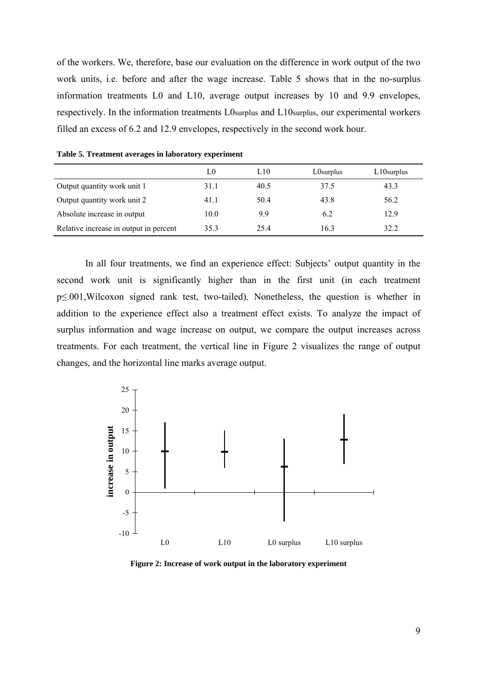of the workers. We, therefore, base our evaluation on the difference in work output of the two work units, i.e. before and after the wage increase. Table 5 shows that in the no-surplus information treatments L0 and L10, average output increases by 10 and 9.9 envelopes, respectively. In the information treatments L0surplus and L10surplus, our experimental workers filled an excess of 6.2 and 12.9 envelopes, respectively in the second work hour.

|                                        | L0   | L10  | L0surplus | $L10$ surplus |
|----------------------------------------|------|------|-----------|---------------|
| Output quantity work unit 1            | 31.1 | 40.5 | 37.5      | 43.3          |
| Output quantity work unit 2            | 41.1 | 50.4 | 43.8      | 56.2          |
| Absolute increase in output            | 10.0 | 9.9  | 6.2       | 12.9          |
| Relative increase in output in percent | 35.3 | 25.4 | 16.3      | 32.2          |

**Table 5. Treatment averages in laboratory experiment** 

In all four treatments, we find an experience effect: Subjects' output quantity in the second work unit is significantly higher than in the first unit (in each treatment p≤.001,Wilcoxon signed rank test, two-tailed). Nonetheless, the question is whether in addition to the experience effect also a treatment effect exists. To analyze the impact of surplus information and wage increase on output, we compare the output increases across treatments. For each treatment, the vertical line in Figure 2 visualizes the range of output changes, and the horizontal line marks average output.



**Figure 2: Increase of work output in the laboratory experiment**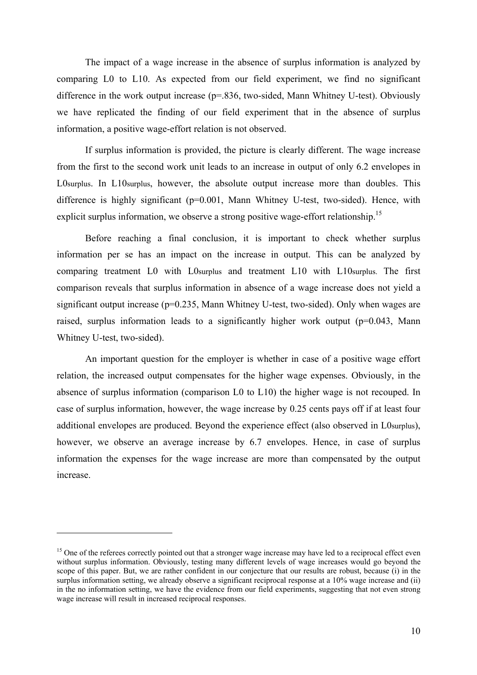The impact of a wage increase in the absence of surplus information is analyzed by comparing L0 to L10. As expected from our field experiment, we find no significant difference in the work output increase (p=.836, two-sided, Mann Whitney U-test). Obviously we have replicated the finding of our field experiment that in the absence of surplus information, a positive wage-effort relation is not observed.

If surplus information is provided, the picture is clearly different. The wage increase from the first to the second work unit leads to an increase in output of only 6.2 envelopes in L0surplus. In L10surplus, however, the absolute output increase more than doubles. This difference is highly significant  $(p=0.001$ . Mann Whitney U-test, two-sided). Hence, with explicit surplus information, we observe a strong positive wage-effort relationship.<sup>15</sup>

Before reaching a final conclusion, it is important to check whether surplus information per se has an impact on the increase in output. This can be analyzed by comparing treatment L0 with L0surplus and treatment L10 with L10surplus. The first comparison reveals that surplus information in absence of a wage increase does not yield a significant output increase (p=0.235, Mann Whitney U-test, two-sided). Only when wages are raised, surplus information leads to a significantly higher work output  $(p=0.043,$  Mann Whitney U-test, two-sided).

An important question for the employer is whether in case of a positive wage effort relation, the increased output compensates for the higher wage expenses. Obviously, in the absence of surplus information (comparison L0 to L10) the higher wage is not recouped. In case of surplus information, however, the wage increase by 0.25 cents pays off if at least four additional envelopes are produced. Beyond the experience effect (also observed in L0surplus), however, we observe an average increase by 6.7 envelopes. Hence, in case of surplus information the expenses for the wage increase are more than compensated by the output increase.

<sup>&</sup>lt;sup>15</sup> One of the referees correctly pointed out that a stronger wage increase may have led to a reciprocal effect even without surplus information. Obviously, testing many different levels of wage increases would go beyond the scope of this paper. But, we are rather confident in our conjecture that our results are robust, because (i) in the surplus information setting, we already observe a significant reciprocal response at a 10% wage increase and (ii) in the no information setting, we have the evidence from our field experiments, suggesting that not even strong wage increase will result in increased reciprocal responses.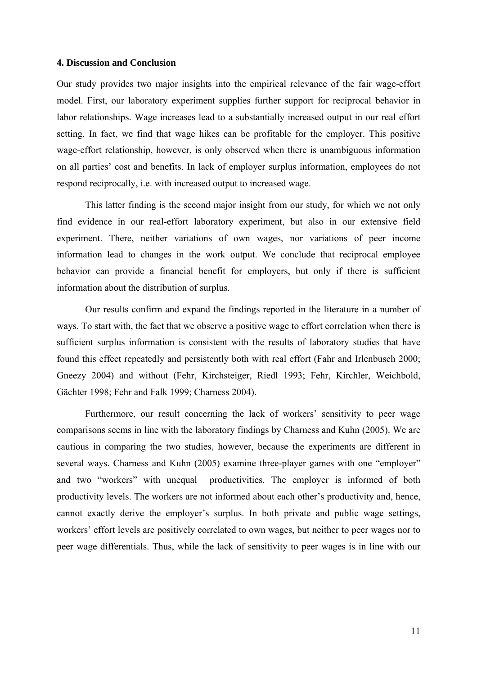# **4. Discussion and Conclusion**

Our study provides two major insights into the empirical relevance of the fair wage-effort model. First, our laboratory experiment supplies further support for reciprocal behavior in labor relationships. Wage increases lead to a substantially increased output in our real effort setting. In fact, we find that wage hikes can be profitable for the employer. This positive wage-effort relationship, however, is only observed when there is unambiguous information on all parties' cost and benefits. In lack of employer surplus information, employees do not respond reciprocally, i.e. with increased output to increased wage.

This latter finding is the second major insight from our study, for which we not only find evidence in our real-effort laboratory experiment, but also in our extensive field experiment. There, neither variations of own wages, nor variations of peer income information lead to changes in the work output. We conclude that reciprocal employee behavior can provide a financial benefit for employers, but only if there is sufficient information about the distribution of surplus.

Our results confirm and expand the findings reported in the literature in a number of ways. To start with, the fact that we observe a positive wage to effort correlation when there is sufficient surplus information is consistent with the results of laboratory studies that have found this effect repeatedly and persistently both with real effort (Fahr and Irlenbusch 2000; Gneezy 2004) and without (Fehr, Kirchsteiger, Riedl 1993; Fehr, Kirchler, Weichbold, Gächter 1998; Fehr and Falk 1999; Charness 2004).

Furthermore, our result concerning the lack of workers' sensitivity to peer wage comparisons seems in line with the laboratory findings by Charness and Kuhn (2005). We are cautious in comparing the two studies, however, because the experiments are different in several ways. Charness and Kuhn (2005) examine three-player games with one "employer" and two "workers" with unequal productivities. The employer is informed of both productivity levels. The workers are not informed about each other's productivity and, hence, cannot exactly derive the employer's surplus. In both private and public wage settings, workers' effort levels are positively correlated to own wages, but neither to peer wages nor to peer wage differentials. Thus, while the lack of sensitivity to peer wages is in line with our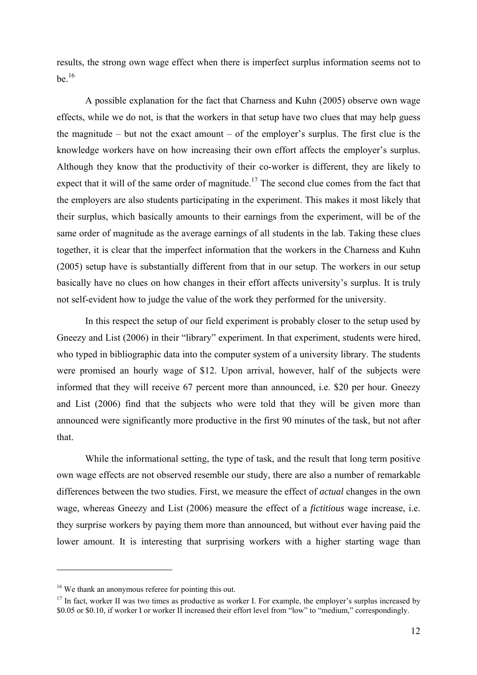results, the strong own wage effect when there is imperfect surplus information seems not to  $he<sup>16</sup>$ 

A possible explanation for the fact that Charness and Kuhn (2005) observe own wage effects, while we do not, is that the workers in that setup have two clues that may help guess the magnitude – but not the exact amount – of the employer's surplus. The first clue is the knowledge workers have on how increasing their own effort affects the employer's surplus. Although they know that the productivity of their co-worker is different, they are likely to expect that it will of the same order of magnitude.<sup>17</sup> The second clue comes from the fact that the employers are also students participating in the experiment. This makes it most likely that their surplus, which basically amounts to their earnings from the experiment, will be of the same order of magnitude as the average earnings of all students in the lab. Taking these clues together, it is clear that the imperfect information that the workers in the Charness and Kuhn (2005) setup have is substantially different from that in our setup. The workers in our setup basically have no clues on how changes in their effort affects university's surplus. It is truly not self-evident how to judge the value of the work they performed for the university.

In this respect the setup of our field experiment is probably closer to the setup used by Gneezy and List (2006) in their "library" experiment. In that experiment, students were hired, who typed in bibliographic data into the computer system of a university library. The students were promised an hourly wage of \$12. Upon arrival, however, half of the subjects were informed that they will receive 67 percent more than announced, i.e. \$20 per hour. Gneezy and List (2006) find that the subjects who were told that they will be given more than announced were significantly more productive in the first 90 minutes of the task, but not after that.

While the informational setting, the type of task, and the result that long term positive own wage effects are not observed resemble our study, there are also a number of remarkable differences between the two studies. First, we measure the effect of *actual* changes in the own wage, whereas Gneezy and List (2006) measure the effect of a *fictitious* wage increase, i.e. they surprise workers by paying them more than announced, but without ever having paid the lower amount. It is interesting that surprising workers with a higher starting wage than

<sup>&</sup>lt;sup>16</sup> We thank an anonymous referee for pointing this out.

 $17$  In fact, worker II was two times as productive as worker I. For example, the employer's surplus increased by \$0.05 or \$0.10, if worker I or worker II increased their effort level from "low" to "medium," correspondingly.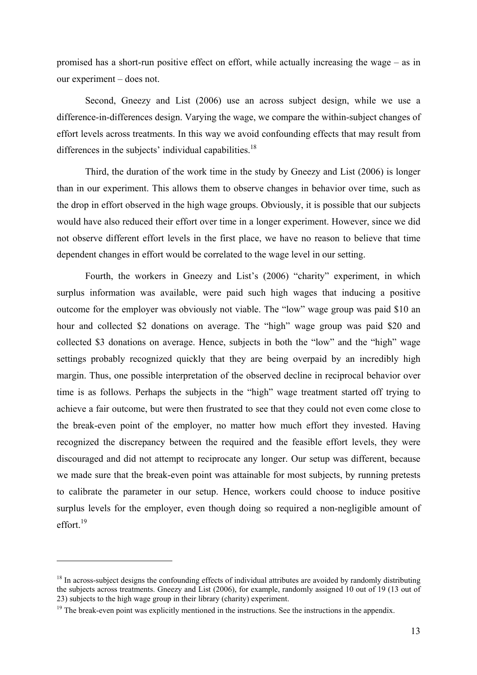promised has a short-run positive effect on effort, while actually increasing the wage – as in our experiment – does not.

Second, Gneezy and List (2006) use an across subject design, while we use a difference-in-differences design. Varying the wage, we compare the within-subject changes of effort levels across treatments. In this way we avoid confounding effects that may result from differences in the subjects' individual capabilities. $18$ 

Third, the duration of the work time in the study by Gneezy and List (2006) is longer than in our experiment. This allows them to observe changes in behavior over time, such as the drop in effort observed in the high wage groups. Obviously, it is possible that our subjects would have also reduced their effort over time in a longer experiment. However, since we did not observe different effort levels in the first place, we have no reason to believe that time dependent changes in effort would be correlated to the wage level in our setting.

Fourth, the workers in Gneezy and List's (2006) "charity" experiment, in which surplus information was available, were paid such high wages that inducing a positive outcome for the employer was obviously not viable. The "low" wage group was paid \$10 an hour and collected \$2 donations on average. The "high" wage group was paid \$20 and collected \$3 donations on average. Hence, subjects in both the "low" and the "high" wage settings probably recognized quickly that they are being overpaid by an incredibly high margin. Thus, one possible interpretation of the observed decline in reciprocal behavior over time is as follows. Perhaps the subjects in the "high" wage treatment started off trying to achieve a fair outcome, but were then frustrated to see that they could not even come close to the break-even point of the employer, no matter how much effort they invested. Having recognized the discrepancy between the required and the feasible effort levels, they were discouraged and did not attempt to reciprocate any longer. Our setup was different, because we made sure that the break-even point was attainable for most subjects, by running pretests to calibrate the parameter in our setup. Hence, workers could choose to induce positive surplus levels for the employer, even though doing so required a non-negligible amount of effort<sup>19</sup>

<sup>&</sup>lt;sup>18</sup> In across-subject designs the confounding effects of individual attributes are avoided by randomly distributing the subjects across treatments. Gneezy and List (2006), for example, randomly assigned 10 out of 19 (13 out of 23) subjects to the high wage group in their library (charity) experiment.

<sup>&</sup>lt;sup>19</sup> The break-even point was explicitly mentioned in the instructions. See the instructions in the appendix.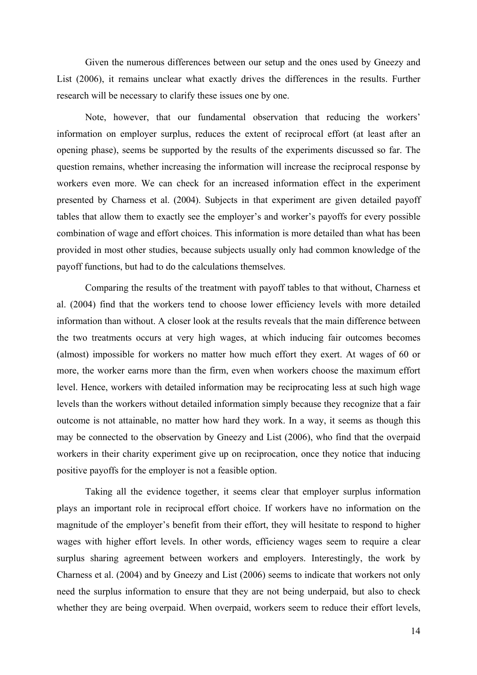Given the numerous differences between our setup and the ones used by Gneezy and List (2006), it remains unclear what exactly drives the differences in the results. Further research will be necessary to clarify these issues one by one.

Note, however, that our fundamental observation that reducing the workers' information on employer surplus, reduces the extent of reciprocal effort (at least after an opening phase), seems be supported by the results of the experiments discussed so far. The question remains, whether increasing the information will increase the reciprocal response by workers even more. We can check for an increased information effect in the experiment presented by Charness et al. (2004). Subjects in that experiment are given detailed payoff tables that allow them to exactly see the employer's and worker's payoffs for every possible combination of wage and effort choices. This information is more detailed than what has been provided in most other studies, because subjects usually only had common knowledge of the payoff functions, but had to do the calculations themselves.

Comparing the results of the treatment with payoff tables to that without, Charness et al. (2004) find that the workers tend to choose lower efficiency levels with more detailed information than without. A closer look at the results reveals that the main difference between the two treatments occurs at very high wages, at which inducing fair outcomes becomes (almost) impossible for workers no matter how much effort they exert. At wages of 60 or more, the worker earns more than the firm, even when workers choose the maximum effort level. Hence, workers with detailed information may be reciprocating less at such high wage levels than the workers without detailed information simply because they recognize that a fair outcome is not attainable, no matter how hard they work. In a way, it seems as though this may be connected to the observation by Gneezy and List (2006), who find that the overpaid workers in their charity experiment give up on reciprocation, once they notice that inducing positive payoffs for the employer is not a feasible option.

Taking all the evidence together, it seems clear that employer surplus information plays an important role in reciprocal effort choice. If workers have no information on the magnitude of the employer's benefit from their effort, they will hesitate to respond to higher wages with higher effort levels. In other words, efficiency wages seem to require a clear surplus sharing agreement between workers and employers. Interestingly, the work by Charness et al. (2004) and by Gneezy and List (2006) seems to indicate that workers not only need the surplus information to ensure that they are not being underpaid, but also to check whether they are being overpaid. When overpaid, workers seem to reduce their effort levels,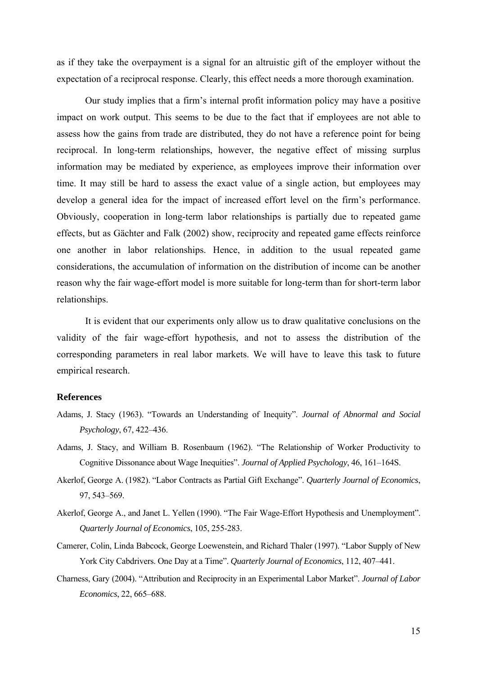as if they take the overpayment is a signal for an altruistic gift of the employer without the expectation of a reciprocal response. Clearly, this effect needs a more thorough examination.

Our study implies that a firm's internal profit information policy may have a positive impact on work output. This seems to be due to the fact that if employees are not able to assess how the gains from trade are distributed, they do not have a reference point for being reciprocal. In long-term relationships, however, the negative effect of missing surplus information may be mediated by experience, as employees improve their information over time. It may still be hard to assess the exact value of a single action, but employees may develop a general idea for the impact of increased effort level on the firm's performance. Obviously, cooperation in long-term labor relationships is partially due to repeated game effects, but as Gächter and Falk (2002) show, reciprocity and repeated game effects reinforce one another in labor relationships. Hence, in addition to the usual repeated game considerations, the accumulation of information on the distribution of income can be another reason why the fair wage-effort model is more suitable for long-term than for short-term labor relationships.

It is evident that our experiments only allow us to draw qualitative conclusions on the validity of the fair wage-effort hypothesis, and not to assess the distribution of the corresponding parameters in real labor markets. We will have to leave this task to future empirical research.

# **References**

- Adams, J. Stacy (1963). "Towards an Understanding of Inequity". *Journal of Abnormal and Social Psychology*, 67, 422–436.
- Adams, J. Stacy, and William B. Rosenbaum (1962). "The Relationship of Worker Productivity to Cognitive Dissonance about Wage Inequities". *Journal of Applied Psychology*, 46, 161–164S.
- Akerlof, George A. (1982). "Labor Contracts as Partial Gift Exchange". *Quarterly Journal of Economics*, 97, 543–569.
- Akerlof, George A., and Janet L. Yellen (1990). "The Fair Wage-Effort Hypothesis and Unemployment". *Quarterly Journal of Economics*, 105, 255-283.
- Camerer, Colin, Linda Babcock, George Loewenstein, and Richard Thaler (1997). "Labor Supply of New York City Cabdrivers. One Day at a Time". *Quarterly Journal of Economics*, 112, 407–441.
- Charness, Gary (2004). "Attribution and Reciprocity in an Experimental Labor Market". *Journal of Labor Economics*, 22, 665–688.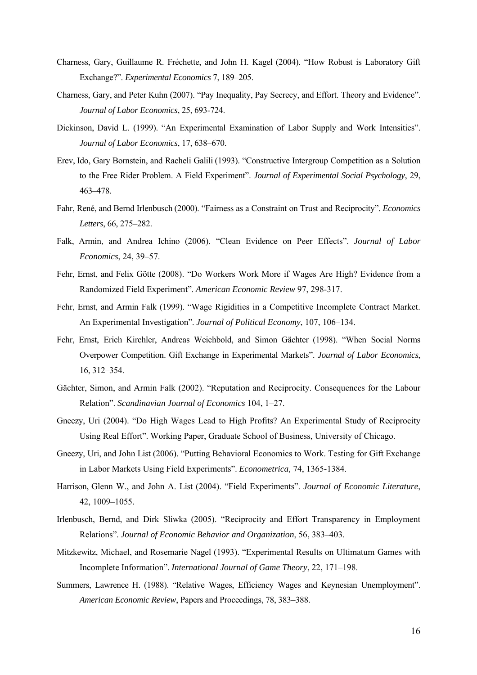- Charness, Gary, Guillaume R. Fréchette, and John H. Kagel (2004). "How Robust is Laboratory Gift Exchange?". *Experimental Economics* 7, 189–205.
- Charness, Gary, and Peter Kuhn (2007). "Pay Inequality, Pay Secrecy, and Effort. Theory and Evidence". *Journal of Labor Economics*, 25, 693-724.
- Dickinson, David L. (1999). "An Experimental Examination of Labor Supply and Work Intensities". *Journal of Labor Economics*, 17, 638–670.
- Erev, Ido, Gary Bornstein, and Racheli Galili (1993). "Constructive Intergroup Competition as a Solution to the Free Rider Problem. A Field Experiment". *Journal of Experimental Social Psychology*, 29, 463–478.
- Fahr, René, and Bernd Irlenbusch (2000). "Fairness as a Constraint on Trust and Reciprocity". *Economics Letters*, 66, 275–282.
- Falk, Armin, and Andrea Ichino (2006). "Clean Evidence on Peer Effects". *Journal of Labor Economics*, 24, 39–57.
- Fehr, Ernst, and Felix Götte (2008). "Do Workers Work More if Wages Are High? Evidence from a Randomized Field Experiment". *American Economic Review* 97, 298-317.
- Fehr, Ernst, and Armin Falk (1999). "Wage Rigidities in a Competitive Incomplete Contract Market. An Experimental Investigation". *Journal of Political Economy*, 107, 106–134.
- Fehr, Ernst, Erich Kirchler, Andreas Weichbold, and Simon Gächter (1998). "When Social Norms Overpower Competition. Gift Exchange in Experimental Markets". *Journal of Labor Economics*, 16, 312–354.
- Gächter, Simon, and Armin Falk (2002). "Reputation and Reciprocity. Consequences for the Labour Relation". *Scandinavian Journal of Economics* 104, 1–27.
- Gneezy, Uri (2004). "Do High Wages Lead to High Profits? An Experimental Study of Reciprocity Using Real Effort". Working Paper, Graduate School of Business, University of Chicago.
- Gneezy, Uri, and John List (2006). "Putting Behavioral Economics to Work. Testing for Gift Exchange in Labor Markets Using Field Experiments". *Econometrica,* 74, 1365-1384.
- Harrison, Glenn W., and John A. List (2004). "Field Experiments". *Journal of Economic Literature*, 42, 1009–1055.
- Irlenbusch, Bernd, and Dirk Sliwka (2005). "Reciprocity and Effort Transparency in Employment Relations". *Journal of Economic Behavior and Organization*, 56, 383–403.
- Mitzkewitz, Michael, and Rosemarie Nagel (1993). "Experimental Results on Ultimatum Games with Incomplete Information". *International Journal of Game Theory*, 22, 171–198.
- Summers, Lawrence H. (1988). "Relative Wages, Efficiency Wages and Keynesian Unemployment". *American Economic Review*, Papers and Proceedings, 78, 383–388.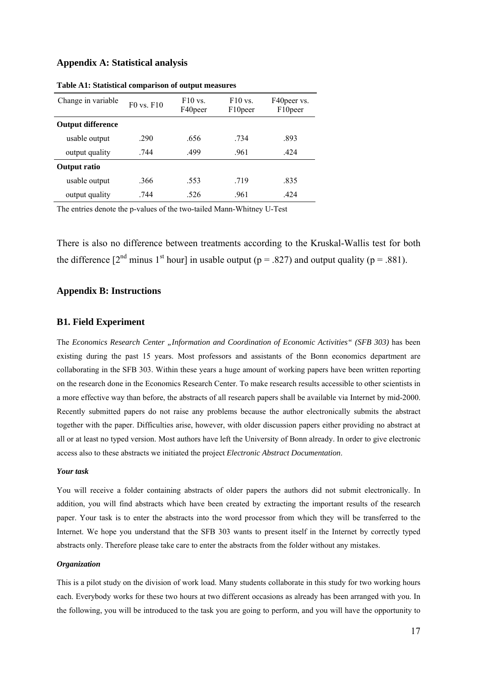# **Appendix A: Statistical analysis**

| Change in variable       | $F0$ vs. $F10$ | $F10$ vs.<br>F40peer | $F10$ vs.<br>F10 <sub>peer</sub> | F40 peer vs.<br>F10peer |
|--------------------------|----------------|----------------------|----------------------------------|-------------------------|
| <b>Output difference</b> |                |                      |                                  |                         |
| usable output            | .290           | .656                 | .734                             | .893                    |
| output quality           | .744           | .499                 | .961                             | .424                    |
| <b>Output ratio</b>      |                |                      |                                  |                         |
| usable output            | .366           | .553                 | .719                             | .835                    |
| output quality           | .744           | .526                 | .961                             | .424                    |

**Table A1: Statistical comparison of output measures** 

The entries denote the p-values of the two-tailed Mann-Whitney U-Test

There is also no difference between treatments according to the Kruskal-Wallis test for both the difference  $[2^{nd}$  minus  $1^{st}$  hour] in usable output (p = .827) and output quality (p = .881).

#### **Appendix B: Instructions**

# **B1. Field Experiment**

The *Economics Research Center "Information and Coordination of Economic Activities" (SFB 303)* has been existing during the past 15 years. Most professors and assistants of the Bonn economics department are collaborating in the SFB 303. Within these years a huge amount of working papers have been written reporting on the research done in the Economics Research Center. To make research results accessible to other scientists in a more effective way than before, the abstracts of all research papers shall be available via Internet by mid-2000. Recently submitted papers do not raise any problems because the author electronically submits the abstract together with the paper. Difficulties arise, however, with older discussion papers either providing no abstract at all or at least no typed version. Most authors have left the University of Bonn already. In order to give electronic access also to these abstracts we initiated the project *Electronic Abstract Documentation*.

#### *Your task*

You will receive a folder containing abstracts of older papers the authors did not submit electronically. In addition, you will find abstracts which have been created by extracting the important results of the research paper. Your task is to enter the abstracts into the word processor from which they will be transferred to the Internet. We hope you understand that the SFB 303 wants to present itself in the Internet by correctly typed abstracts only. Therefore please take care to enter the abstracts from the folder without any mistakes.

#### *Organization*

This is a pilot study on the division of work load. Many students collaborate in this study for two working hours each. Everybody works for these two hours at two different occasions as already has been arranged with you. In the following, you will be introduced to the task you are going to perform, and you will have the opportunity to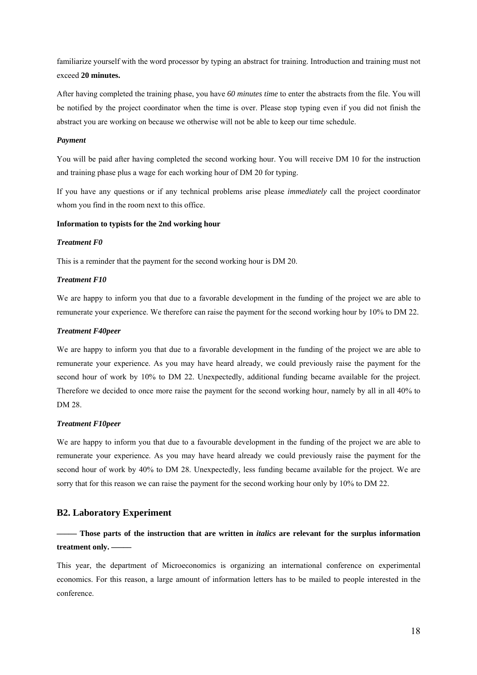familiarize yourself with the word processor by typing an abstract for training. Introduction and training must not exceed **20 minutes.** 

After having completed the training phase, you have *60 minutes time* to enter the abstracts from the file. You will be notified by the project coordinator when the time is over. Please stop typing even if you did not finish the abstract you are working on because we otherwise will not be able to keep our time schedule.

#### *Payment*

You will be paid after having completed the second working hour. You will receive DM 10 for the instruction and training phase plus a wage for each working hour of DM 20 for typing.

If you have any questions or if any technical problems arise please *immediately* call the project coordinator whom you find in the room next to this office.

### **Information to typists for the 2nd working hour**

# *Treatment F0*

This is a reminder that the payment for the second working hour is DM 20.

### *Treatment F10*

We are happy to inform you that due to a favorable development in the funding of the project we are able to remunerate your experience. We therefore can raise the payment for the second working hour by 10% to DM 22.

### *Treatment F40peer*

We are happy to inform you that due to a favorable development in the funding of the project we are able to remunerate your experience. As you may have heard already, we could previously raise the payment for the second hour of work by 10% to DM 22. Unexpectedly, additional funding became available for the project. Therefore we decided to once more raise the payment for the second working hour, namely by all in all 40% to DM 28.

#### *Treatment F10peer*

We are happy to inform you that due to a favourable development in the funding of the project we are able to remunerate your experience. As you may have heard already we could previously raise the payment for the second hour of work by 40% to DM 28. Unexpectedly, less funding became available for the project. We are sorry that for this reason we can raise the payment for the second working hour only by 10% to DM 22.

# **B2. Laboratory Experiment**

**––––– Those parts of the instruction that are written in** *italics* **are relevant for the surplus information treatment only. –––––**

This year, the department of Microeconomics is organizing an international conference on experimental economics. For this reason, a large amount of information letters has to be mailed to people interested in the conference.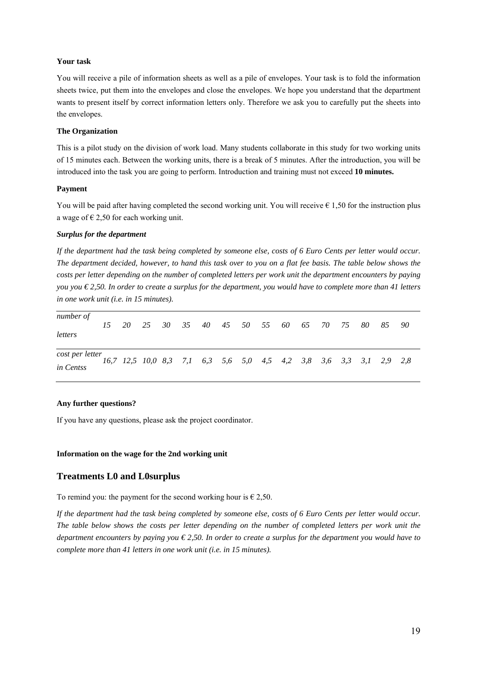### **Your task**

You will receive a pile of information sheets as well as a pile of envelopes. Your task is to fold the information sheets twice, put them into the envelopes and close the envelopes. We hope you understand that the department wants to present itself by correct information letters only. Therefore we ask you to carefully put the sheets into the envelopes.

# **The Organization**

This is a pilot study on the division of work load. Many students collaborate in this study for two working units of 15 minutes each. Between the working units, there is a break of 5 minutes. After the introduction, you will be introduced into the task you are going to perform. Introduction and training must not exceed **10 minutes.** 

# **Payment**

You will be paid after having completed the second working unit. You will receive  $\epsilon$  1,50 for the instruction plus a wage of  $\epsilon$  2,50 for each working unit.

# *Surplus for the department*

*If the department had the task being completed by someone else, costs of 6 Euro Cents per letter would occur. The department decided, however, to hand this task over to you on a flat fee basis. The table below shows the costs per letter depending on the number of completed letters per work unit the department encounters by paying you you € 2,50. In order to create a surplus for the department, you would have to complete more than 41 letters in one work unit (i.e. in 15 minutes).* 

| number of                           | 15 |  |  |  | 20  25  30  35  40  45  50  55  60  65  70  75  80  85  90         |  |  |  |  |
|-------------------------------------|----|--|--|--|--------------------------------------------------------------------|--|--|--|--|
| letters                             |    |  |  |  |                                                                    |  |  |  |  |
| cost per letter<br><i>in Centss</i> |    |  |  |  | 16,7 12,5 10,0 8,3 7,1 6,3 5,6 5,0 4,5 4,2 3,8 3,6 3,3 3,1 2,9 2,8 |  |  |  |  |

### **Any further questions?**

If you have any questions, please ask the project coordinator.

### **Information on the wage for the 2nd working unit**

# **Treatments L0 and L0surplus**

To remind you: the payment for the second working hour is  $\epsilon$  2,50.

*If the department had the task being completed by someone else, costs of 6 Euro Cents per letter would occur. The table below shows the costs per letter depending on the number of completed letters per work unit the department encounters by paying you € 2,50. In order to create a surplus for the department you would have to complete more than 41 letters in one work unit (i.e. in 15 minutes).*